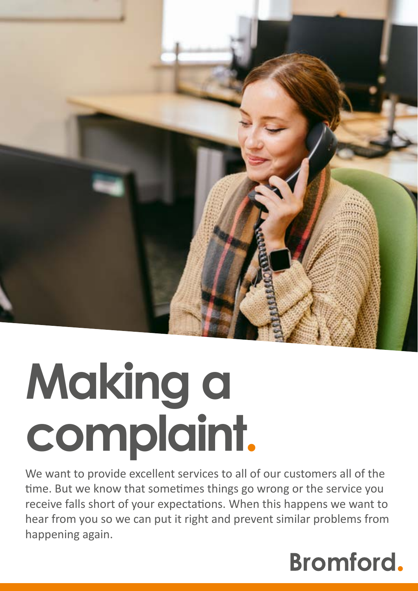

# **Making a complaint.**

We want to provide excellent services to all of our customers all of the time. But we know that sometimes things go wrong or the service you receive falls short of your expectations. When this happens we want to hear from you so we can put it right and prevent similar problems from happening again.

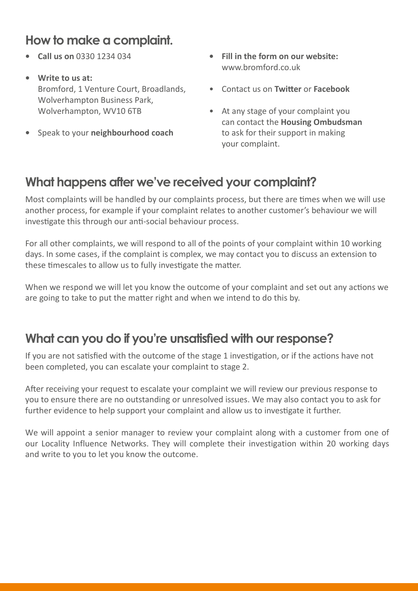### **How to make a complaint.**

- **Call us on** 0330 1234 034
- **Write to us at:** Bromford, 1 Venture Court, Broadlands, Wolverhampton Business Park, Wolverhampton, WV10 6TB
- **•** Speak to your **neighbourhood coach**
- **• Fill in the form on our website:** www.bromford.co.uk
- Contact us on **Twitter** or **Facebook**
- At any stage of your complaint you can contact the **Housing Ombudsman** to ask for their support in making your complaint.

#### **What happens after we've received your complaint?**

Most complaints will be handled by our complaints process, but there are times when we will use another process, for example if your complaint relates to another customer's behaviour we will investigate this through our anti-social behaviour process.

For all other complaints, we will respond to all of the points of your complaint within 10 working days. In some cases, if the complaint is complex, we may contact you to discuss an extension to these timescales to allow us to fully investigate the matter.

When we respond we will let you know the outcome of your complaint and set out any actions we are going to take to put the matter right and when we intend to do this by.

#### **What can you do if you're unsatisfied with our response?**

If you are not satisfied with the outcome of the stage 1 investigation, or if the actions have not been completed, you can escalate your complaint to stage 2.

After receiving your request to escalate your complaint we will review our previous response to you to ensure there are no outstanding or unresolved issues. We may also contact you to ask for further evidence to help support your complaint and allow us to investigate it further.

We will appoint a senior manager to review your complaint along with a customer from one of our Locality Influence Networks. They will complete their investigation within 20 working days and write to you to let you know the outcome.